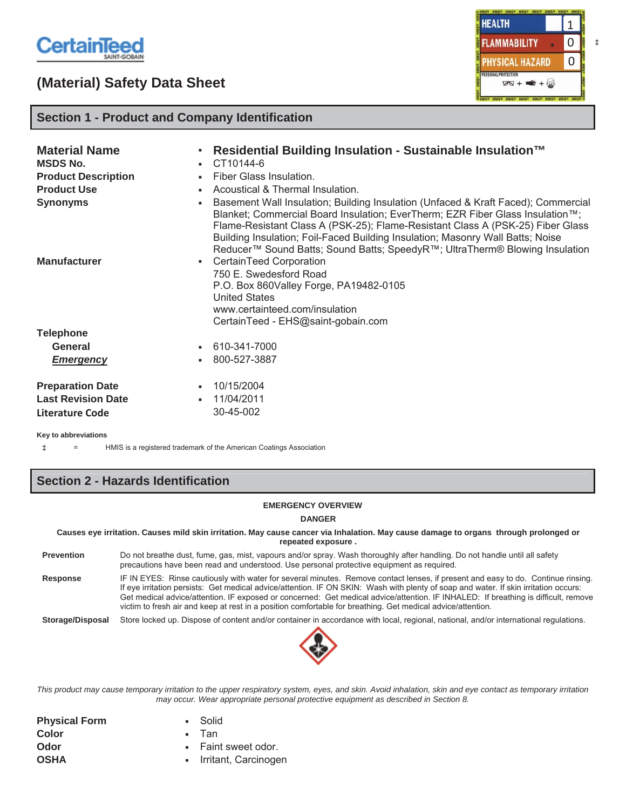

# **(Material) Safety Data Sheet**



## **Section 1 - Product and Company Identification**

| <b>Material Name</b><br><b>MSDS No.</b><br><b>Product Description</b><br><b>Product Use</b><br><b>Synonyms</b><br><b>Manufacturer</b> | Residential Building Insulation - Sustainable Insulation™<br>п.<br>CT10144-6<br>٠<br>Fiber Glass Insulation.<br>٠.<br>Acoustical & Thermal Insulation.<br>Basement Wall Insulation; Building Insulation (Unfaced & Kraft Faced); Commercial<br>٠<br>Blanket; Commercial Board Insulation; EverTherm; EZR Fiber Glass Insulation™;<br>Flame-Resistant Class A (PSK-25); Flame-Resistant Class A (PSK-25) Fiber Glass<br>Building Insulation; Foil-Faced Building Insulation; Masonry Wall Batts; Noise<br>Reducer <sup>™</sup> Sound Batts; Sound Batts; SpeedyR <sup>™</sup> ; UltraTherm® Blowing Insulation<br>• CertainTeed Corporation<br>750 E. Swedesford Road<br>P.O. Box 860Valley Forge, PA19482-0105<br><b>United States</b><br>www.certainteed.com/insulation |
|---------------------------------------------------------------------------------------------------------------------------------------|--------------------------------------------------------------------------------------------------------------------------------------------------------------------------------------------------------------------------------------------------------------------------------------------------------------------------------------------------------------------------------------------------------------------------------------------------------------------------------------------------------------------------------------------------------------------------------------------------------------------------------------------------------------------------------------------------------------------------------------------------------------------------|
| <b>Telephone</b><br>General<br><b>Emergency</b>                                                                                       | CertainTeed - EHS@saint-gobain.com<br>• 610-341-7000<br>800-527-3887<br>٠                                                                                                                                                                                                                                                                                                                                                                                                                                                                                                                                                                                                                                                                                                |
| <b>Preparation Date</b><br><b>Last Revision Date</b><br>Literature Code                                                               | 10/15/2004<br>۰.<br>11/04/2011<br>۰.<br>30-45-002                                                                                                                                                                                                                                                                                                                                                                                                                                                                                                                                                                                                                                                                                                                        |

**Key to abbreviations**

‡ = HMIS is a registered trademark of the American Coatings Association

# **Section 2 - Hazards Identification**

#### **EMERGENCY OVERVIEW**

**DANGER**

**Causes eye irritation. Causes mild skin irritation. May cause cancer via Inhalation. May cause damage to organs through prolonged or repeated exposure .**

- **Prevention** Do not breathe dust, fume, gas, mist, vapours and/or spray. Wash thoroughly after handling. Do not handle until all safety precautions have been read and understood. Use personal protective equipment as required.
- **Response** IF IN EYES: Rinse cautiously with water for several minutes. Remove contact lenses, if present and easy to do. Continue rinsing. If eye irritation persists: Get medical advice/attention. IF ON SKIN: Wash with plenty of soap and water. If skin irritation occurs: Get medical advice/attention. IF exposed or concerned: Get medical advice/attention. IF INHALED: If breathing is difficult, remove victim to fresh air and keep at rest in a position comfortable for breathing. Get medical advice/attention.

**Storage/Disposal** Store locked up. Dispose of content and/or container in accordance with local, regional, national, and/or international regulations.



*This product may cause temporary irritation to the upper respiratory system, eyes, and skin. Avoid inhalation, skin and eye contact as temporary irritation may occur. Wear appropriate personal protective equipment as described in Section 8.*

| <b>Physical Form</b> | • Solid                |
|----------------------|------------------------|
| Color                | ▪ Tan                  |
| Odor                 | • Faint sweet odor.    |
| <b>OSHA</b>          | - Irritant, Carcinogen |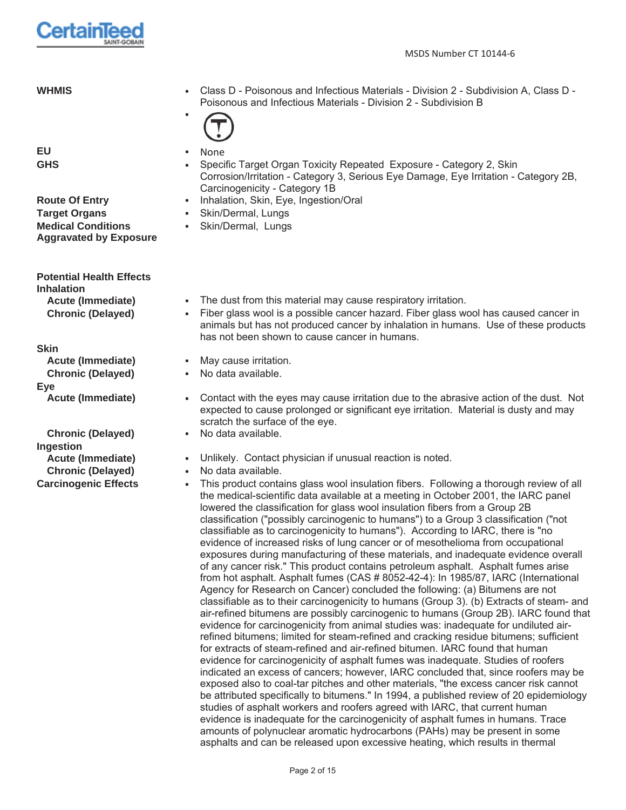

| <b>WHMIS</b>     | Class D - Poisonous and Infectious Materials - Division 2 - Subdivision A, Class D -<br>٠<br>Poisonous and Infectious Materials - Division 2 - Subdivision B<br>(T)                                         |
|------------------|-------------------------------------------------------------------------------------------------------------------------------------------------------------------------------------------------------------|
| EU<br><b>GHS</b> | None<br>٠<br>• Specific Target Organ Toxicity Repeated Exposure - Category 2, Skin<br>Corrosion/Irritation - Category 3, Serious Eye Damage, Eye Irritation - Category 2B,<br>Carcinogenicity - Category 1B |

- **Route Of Entry The Route Of Entry Fig. 3. Inhalation, Skin, Eye, Ingestion/Oral** 
	-
	- Skin/Dermal, Lungs
- - **Acute (Immediate)** The dust from this material may cause respiratory irritation.
	- **Chronic (Delayed)** Fiber glass wool is a possible cancer hazard. Fiber glass wool has caused cancer in animals but has not produced cancer by inhalation in humans. Use of these products has not been shown to cause cancer in humans.
	- **Acute (Immediate)** The May cause irritation.
	- **Chronic (Delayed)** No data available.
	- Acute (Immediate) **Fig. 2** Contact with the eyes may cause irritation due to the abrasive action of the dust. Not expected to cause prolonged or significant eye irritation. Material is dusty and may scratch the surface of the eye.
	- **Chronic (Delayed) The State Media available.**
	- **Acute (Immediate)**  $\bullet$  Unlikely. Contact physician if unusual reaction is noted.
	- **Chronic (Delayed) In the State Available.**
- **Carcinogenic Effects** This product contains glass wool insulation fibers. Following a thorough review of all the medical-scientific data available at a meeting in October 2001, the IARC panel lowered the classification for glass wool insulation fibers from a Group 2B classification ("possibly carcinogenic to humans") to a Group 3 classification ("not classifiable as to carcinogenicity to humans"). According to IARC, there is "no evidence of increased risks of lung cancer or of mesothelioma from occupational exposures during manufacturing of these materials, and inadequate evidence overall of any cancer risk." This product contains petroleum asphalt. Asphalt fumes arise from hot asphalt. Asphalt fumes (CAS # 8052-42-4): In 1985/87, IARC (International Agency for Research on Cancer) concluded the following: (a) Bitumens are not classifiable as to their carcinogenicity to humans (Group 3). (b) Extracts of steam- and air-refined bitumens are possibly carcinogenic to humans (Group 2B). IARC found that evidence for carcinogenicity from animal studies was: inadequate for undiluted airrefined bitumens; limited for steam-refined and cracking residue bitumens; sufficient for extracts of steam-refined and air-refined bitumen. IARC found that human evidence for carcinogenicity of asphalt fumes was inadequate. Studies of roofers indicated an excess of cancers; however, IARC concluded that, since roofers may be exposed also to coal-tar pitches and other materials, "the excess cancer risk cannot be attributed specifically to bitumens." In 1994, a published review of 20 epidemiology studies of asphalt workers and roofers agreed with IARC, that current human evidence is inadequate for the carcinogenicity of asphalt fumes in humans. Trace amounts of polynuclear aromatic hydrocarbons (PAHs) may be present in some asphalts and can be released upon excessive heating, which results in thermal

**Target Organs Target Organs Target Organs Medical Conditions Aggravated by Exposure**

**Potential Health Effects Inhalation**

**Skin**

**Eye**

**Ingestion**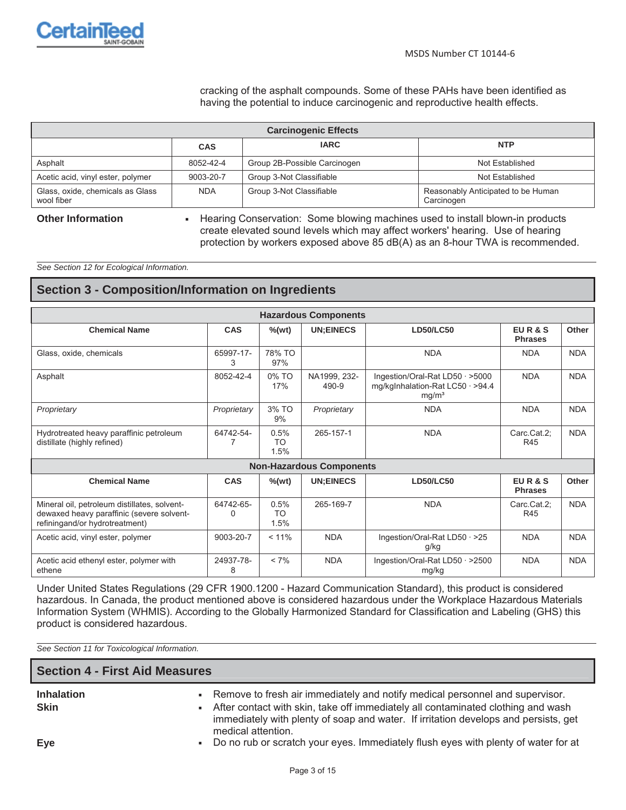

cracking of the asphalt compounds. Some of these PAHs have been identified as having the potential to induce carcinogenic and reproductive health effects.

| <b>Carcinogenic Effects</b>                    |            |                              |                                                  |  |  |
|------------------------------------------------|------------|------------------------------|--------------------------------------------------|--|--|
|                                                | <b>CAS</b> | <b>IARC</b>                  | <b>NTP</b>                                       |  |  |
| Asphalt                                        | 8052-42-4  | Group 2B-Possible Carcinogen | Not Established                                  |  |  |
| Acetic acid, vinyl ester, polymer              | 9003-20-7  | Group 3-Not Classifiable     | Not Established                                  |  |  |
| Glass, oxide, chemicals as Glass<br>wool fiber | <b>NDA</b> | Group 3-Not Classifiable     | Reasonably Anticipated to be Human<br>Carcinogen |  |  |

**Other Information Exercise 3 Fearing Conservation: Some blowing machines used to install blown-in products** create elevated sound levels which may affect workers' hearing. Use of hearing protection by workers exposed above 85 dB(A) as an 8-hour TWA is recommended.

*See Section 12 for Ecological Information.*

## **Section 3 - Composition/Information on Ingredients**

| <b>Hazardous Components</b>                                                                                                 |                                                                              |                           |                                                                                                                   |                                          |                         |            |  |
|-----------------------------------------------------------------------------------------------------------------------------|------------------------------------------------------------------------------|---------------------------|-------------------------------------------------------------------------------------------------------------------|------------------------------------------|-------------------------|------------|--|
| <b>Chemical Name</b>                                                                                                        | CAS                                                                          | $%$ (wt)                  | <b>UN:EINECS</b>                                                                                                  | <b>LD50/LC50</b>                         | EUR&S<br><b>Phrases</b> | Other      |  |
| Glass, oxide, chemicals                                                                                                     | 65997-17-<br>3                                                               | 78% TO<br>97%             |                                                                                                                   | <b>NDA</b>                               | <b>NDA</b>              | <b>NDA</b> |  |
| Asphalt                                                                                                                     | 8052-42-4                                                                    | 0% TO<br>17%              | NA1999, 232-<br>Ingestion/Oral-Rat LD50 · >5000<br>mg/kglnhalation-Rat LC50 · >94.4<br>490-9<br>mg/m <sup>3</sup> |                                          | <b>NDA</b>              | <b>NDA</b> |  |
| Proprietary                                                                                                                 | Proprietary                                                                  | 3% TO<br>9%               | Proprietary                                                                                                       | <b>NDA</b>                               | <b>NDA</b>              | <b>NDA</b> |  |
| Hydrotreated heavy paraffinic petroleum<br>distillate (highly refined)                                                      | 64742-54-                                                                    | 0.5%<br><b>TO</b><br>1.5% | 265-157-1                                                                                                         | <b>NDA</b>                               | Carc.Cat.2:<br>R45      | <b>NDA</b> |  |
|                                                                                                                             |                                                                              |                           | <b>Non-Hazardous Components</b>                                                                                   |                                          |                         |            |  |
| <b>Chemical Name</b>                                                                                                        | <b>CAS</b>                                                                   | $%$ (wt)                  | <b>UN:EINECS</b>                                                                                                  | <b>LD50/LC50</b>                         | EUR&S<br><b>Phrases</b> | Other      |  |
| Mineral oil, petroleum distillates, solvent-<br>dewaxed heavy paraffinic (severe solvent-<br>refiningand/or hydrotreatment) | 64742-65-<br>U                                                               | 0.5%<br>TO<br>1.5%        | 265-169-7                                                                                                         | <b>NDA</b>                               | Carc.Cat.2:<br>R45      | <b>NDA</b> |  |
| Acetic acid, vinyl ester, polymer                                                                                           | 9003-20-7<br>$< 11\%$<br><b>NDA</b><br>Ingestion/Oral-Rat LD50 · >25<br>g/kg |                           | <b>NDA</b>                                                                                                        | <b>NDA</b>                               |                         |            |  |
| Acetic acid ethenyl ester, polymer with<br>ethene                                                                           | 24937-78-<br>8                                                               | $< 7\%$                   | <b>NDA</b>                                                                                                        | Ingestion/Oral-Rat LD50 · >2500<br>mg/kg | <b>NDA</b>              | <b>NDA</b> |  |

Under United States Regulations (29 CFR 1900.1200 - Hazard Communication Standard), this product is considered hazardous. In Canada, the product mentioned above is considered hazardous under the Workplace Hazardous Materials Information System (WHMIS). According to the Globally Harmonized Standard for Classification and Labeling (GHS) this product is considered hazardous.

*See Section 11 for Toxicological Information.*

| <b>Section 4 - First Aid Measures</b> |                                                                                                                                                                                                                                                                                   |  |  |  |
|---------------------------------------|-----------------------------------------------------------------------------------------------------------------------------------------------------------------------------------------------------------------------------------------------------------------------------------|--|--|--|
| <b>Inhalation</b><br><b>Skin</b>      | - Remove to fresh air immediately and notify medical personnel and supervisor.<br>- After contact with skin, take off immediately all contaminated clothing and wash<br>immediately with plenty of soap and water. If irritation develops and persists, get<br>medical attention. |  |  |  |
| Eye                                   | • Do no rub or scratch your eyes. Immediately flush eyes with plenty of water for at                                                                                                                                                                                              |  |  |  |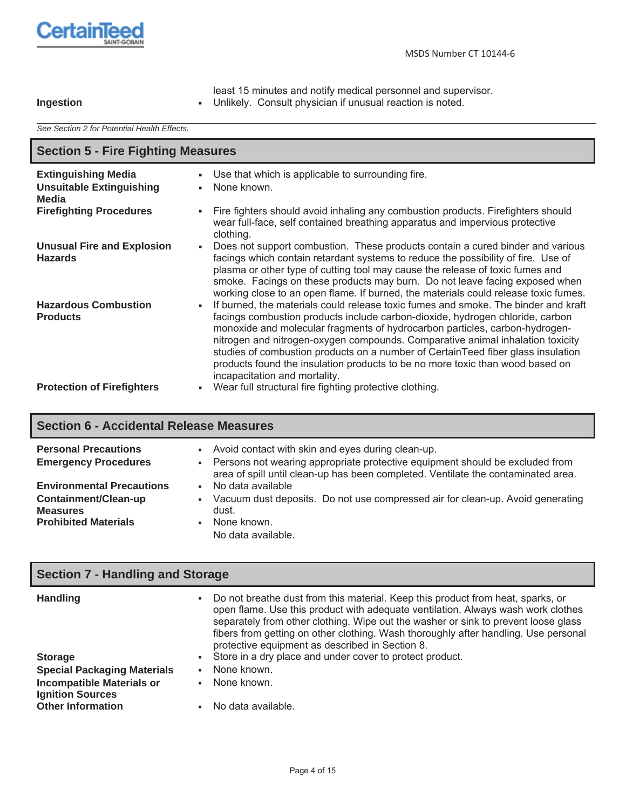

|           | least 15 minutes and notify medical personnel and supervisor. |
|-----------|---------------------------------------------------------------|
| Ingestion | - Unlikely. Consult physician if unusual reaction is noted.   |

*See Section 2 for Potential Health Effects.*

| <b>Section 5 - Fire Fighting Measures</b>                              |                                                                                                                                                                                                                                                                                                                                                                                                                                                                                                                                            |  |  |  |
|------------------------------------------------------------------------|--------------------------------------------------------------------------------------------------------------------------------------------------------------------------------------------------------------------------------------------------------------------------------------------------------------------------------------------------------------------------------------------------------------------------------------------------------------------------------------------------------------------------------------------|--|--|--|
| <b>Extinguishing Media</b><br><b>Unsuitable Extinguishing</b><br>Media | Use that which is applicable to surrounding fire.<br>None known.<br>٠.                                                                                                                                                                                                                                                                                                                                                                                                                                                                     |  |  |  |
| <b>Firefighting Procedures</b>                                         | Fire fighters should avoid inhaling any combustion products. Firefighters should<br>wear full-face, self contained breathing apparatus and impervious protective<br>clothing.                                                                                                                                                                                                                                                                                                                                                              |  |  |  |
| <b>Unusual Fire and Explosion</b><br><b>Hazards</b>                    | Does not support combustion. These products contain a cured binder and various<br>facings which contain retardant systems to reduce the possibility of fire. Use of<br>plasma or other type of cutting tool may cause the release of toxic fumes and<br>smoke. Facings on these products may burn. Do not leave facing exposed when<br>working close to an open flame. If burned, the materials could release toxic fumes.                                                                                                                 |  |  |  |
| <b>Hazardous Combustion</b><br><b>Products</b>                         | If burned, the materials could release toxic fumes and smoke. The binder and kraft<br>facings combustion products include carbon-dioxide, hydrogen chloride, carbon<br>monoxide and molecular fragments of hydrocarbon particles, carbon-hydrogen-<br>nitrogen and nitrogen-oxygen compounds. Comparative animal inhalation toxicity<br>studies of combustion products on a number of CertainTeed fiber glass insulation<br>products found the insulation products to be no more toxic than wood based on<br>incapacitation and mortality. |  |  |  |
| <b>Protection of Firefighters</b>                                      | Wear full structural fire fighting protective clothing.                                                                                                                                                                                                                                                                                                                                                                                                                                                                                    |  |  |  |

# **Section 6 - Accidental Release Measures**

| <b>Personal Precautions</b><br><b>Emergency Procedures</b>                                                 | - Avoid contact with skin and eyes during clean-up.<br>• Persons not wearing appropriate protective equipment should be excluded from<br>area of spill until clean-up has been completed. Ventilate the contaminated area. |
|------------------------------------------------------------------------------------------------------------|----------------------------------------------------------------------------------------------------------------------------------------------------------------------------------------------------------------------------|
| <b>Environmental Precautions</b><br>Containment/Clean-up<br><b>Measures</b><br><b>Prohibited Materials</b> | No data available<br>$\mathbf{r}$<br>Vacuum dust deposits. Do not use compressed air for clean-up. Avoid generating<br>$\mathbf{u}$ .<br>dust.<br>None known.<br>No data available.                                        |

| <b>Section 7 - Handling and Storage</b>                     |                                                                                                                                                                                                                                                                                                                                                                                                           |  |  |  |
|-------------------------------------------------------------|-----------------------------------------------------------------------------------------------------------------------------------------------------------------------------------------------------------------------------------------------------------------------------------------------------------------------------------------------------------------------------------------------------------|--|--|--|
| <b>Handling</b>                                             | Do not breathe dust from this material. Keep this product from heat, sparks, or<br>п.<br>open flame. Use this product with adequate ventilation. Always wash work clothes<br>separately from other clothing. Wipe out the washer or sink to prevent loose glass<br>fibers from getting on other clothing. Wash thoroughly after handling. Use personal<br>protective equipment as described in Section 8. |  |  |  |
| <b>Storage</b>                                              | • Store in a dry place and under cover to protect product.                                                                                                                                                                                                                                                                                                                                                |  |  |  |
| <b>Special Packaging Materials</b>                          | None known.<br>$\mathbf{u}$ .                                                                                                                                                                                                                                                                                                                                                                             |  |  |  |
| <b>Incompatible Materials or</b><br><b>Ignition Sources</b> | None known.                                                                                                                                                                                                                                                                                                                                                                                               |  |  |  |
| <b>Other Information</b>                                    | No data available.                                                                                                                                                                                                                                                                                                                                                                                        |  |  |  |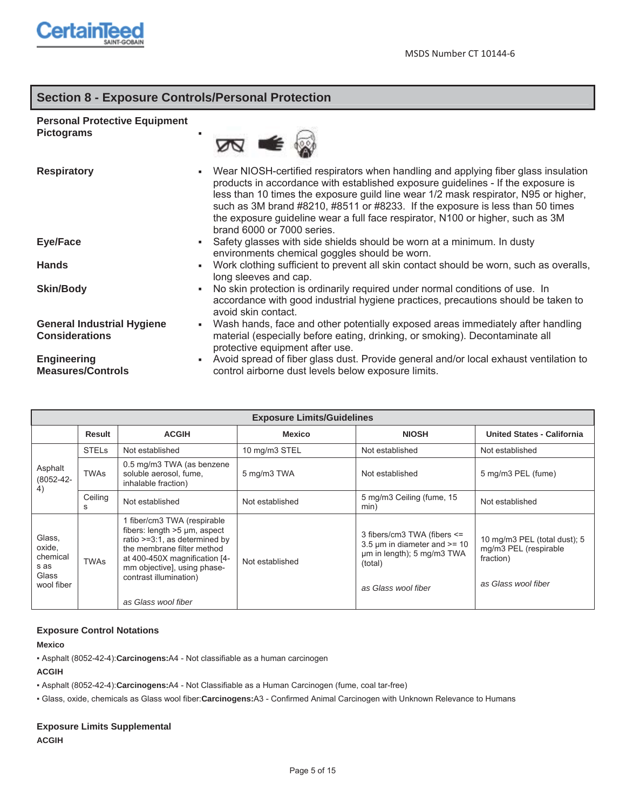

# **Section 8 - Exposure Controls/Personal Protection**

## **Personal Protective Equipment**

**Pictograms** 



| <b>Respiratory</b>                | Wear NIOSH-certified respirators when handling and applying fiber glass insulation<br>products in accordance with established exposure guidelines - If the exposure is<br>less than 10 times the exposure guild line wear 1/2 mask respirator, N95 or higher,<br>such as 3M brand #8210, #8511 or #8233. If the exposure is less than 50 times<br>the exposure guideline wear a full face respirator, N100 or higher, such as 3M<br>brand 6000 or 7000 series. |
|-----------------------------------|----------------------------------------------------------------------------------------------------------------------------------------------------------------------------------------------------------------------------------------------------------------------------------------------------------------------------------------------------------------------------------------------------------------------------------------------------------------|
| <b>Eye/Face</b>                   | Safety glasses with side shields should be worn at a minimum. In dusty<br>$\mathbf{u}$ .<br>environments chemical goggles should be worn.                                                                                                                                                                                                                                                                                                                      |
| <b>Hands</b>                      | Work clothing sufficient to prevent all skin contact should be worn, such as overalls,<br>long sleeves and cap.                                                                                                                                                                                                                                                                                                                                                |
| <b>Skin/Body</b>                  | No skin protection is ordinarily required under normal conditions of use. In<br>н.<br>accordance with good industrial hygiene practices, precautions should be taken to<br>avoid skin contact.                                                                                                                                                                                                                                                                 |
| <b>General Industrial Hygiene</b> | Wash hands, face and other potentially exposed areas immediately after handling<br>п.                                                                                                                                                                                                                                                                                                                                                                          |
| <b>Considerations</b>             | material (especially before eating, drinking, or smoking). Decontaminate all<br>protective equipment after use.                                                                                                                                                                                                                                                                                                                                                |
| Engineering                       | Avoid spread of fiber glass dust. Provide general and/or local exhaust ventilation to                                                                                                                                                                                                                                                                                                                                                                          |
| <b>Measures/Controls</b>          | control airborne dust levels below exposure limits.                                                                                                                                                                                                                                                                                                                                                                                                            |

| <b>Exposure Limits/Guidelines</b>                           |              |                                                                                                                                                                                                                                                |                 |                                                                                                                                       |                                                                                           |  |
|-------------------------------------------------------------|--------------|------------------------------------------------------------------------------------------------------------------------------------------------------------------------------------------------------------------------------------------------|-----------------|---------------------------------------------------------------------------------------------------------------------------------------|-------------------------------------------------------------------------------------------|--|
|                                                             | Result       | <b>ACGIH</b>                                                                                                                                                                                                                                   | <b>Mexico</b>   | <b>NIOSH</b>                                                                                                                          | <b>United States - California</b>                                                         |  |
|                                                             | <b>STELS</b> | Not established                                                                                                                                                                                                                                | 10 mg/m3 STEL   | Not established                                                                                                                       | Not established                                                                           |  |
| Asphalt<br>$(8052 - 42 -$                                   | <b>TWAs</b>  | 0.5 mg/m3 TWA (as benzene<br>soluble aerosol, fume,<br>inhalable fraction)                                                                                                                                                                     | 5 mg/m3 TWA     | Not established                                                                                                                       | 5 mg/m3 PEL (fume)                                                                        |  |
| 4)                                                          | Ceiling<br>S | Not established                                                                                                                                                                                                                                | Not established | 5 mg/m3 Ceiling (fume, 15<br>min)                                                                                                     | Not established                                                                           |  |
| Glass,<br>oxide,<br>chemical<br>s as<br>Glass<br>wool fiber | <b>TWAs</b>  | 1 fiber/cm3 TWA (respirable<br>fibers: length >5 µm, aspect<br>ratio $>=3:1$ , as determined by<br>the membrane filter method<br>at 400-450X magnification [4-<br>mm objective], using phase-<br>contrast illumination)<br>as Glass wool fiber | Not established | 3 fibers/cm3 TWA (fibers <=<br>3.5 $\mu$ m in diameter and $\mu$ = 10<br>um in length); 5 mg/m3 TWA<br>(total)<br>as Glass wool fiber | 10 mg/m3 PEL (total dust); 5<br>mg/m3 PEL (respirable<br>fraction)<br>as Glass wool fiber |  |

### **Exposure Control Notations**

**Mexico**

ƒ Asphalt (8052-42-4):**Carcinogens:**A4 - Not classifiable as a human carcinogen

**ACGIH**

ƒ Asphalt (8052-42-4):**Carcinogens:**A4 - Not Classifiable as a Human Carcinogen (fume, coal tar-free)

ƒ Glass, oxide, chemicals as Glass wool fiber:**Carcinogens:**A3 - Confirmed Animal Carcinogen with Unknown Relevance to Humans

### **Exposure Limits Supplemental ACGIH**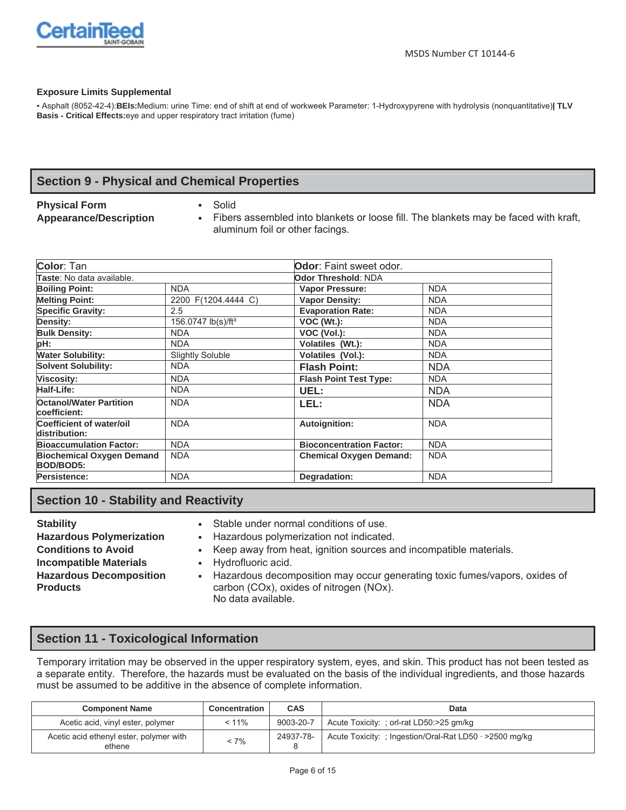

#### **Exposure Limits Supplemental**

ƒ Asphalt (8052-42-4):**BEIs:**Medium: urine Time: end of shift at end of workweek Parameter: 1-Hydroxypyrene with hydrolysis (nonquantitative)**| TLV Basis - Critical Effects:**eye and upper respiratory tract irritation (fume)

# **Section 9 - Physical and Chemical Properties**

## **Physical Form The Solid Solid**

- 
- Appearance/Description **Fibers** assembled into blankets or loose fill. The blankets may be faced with kraft, aluminum foil or other facings.

| Color: Tan                                       |                                | <b>Odor</b> : Faint sweet odor. |            |  |
|--------------------------------------------------|--------------------------------|---------------------------------|------------|--|
| Taste: No data available.<br>Odor Threshold: NDA |                                |                                 |            |  |
| <b>Boiling Point:</b>                            | <b>NDA</b>                     | <b>Vapor Pressure:</b>          | <b>NDA</b> |  |
| <b>Melting Point:</b>                            | 2200 F(1204.4444 C)            | <b>Vapor Density:</b>           | <b>NDA</b> |  |
| <b>Specific Gravity:</b>                         | 2.5                            | <b>Evaporation Rate:</b>        | <b>NDA</b> |  |
| Density:                                         | 156.0747 lb(s)/ft <sup>3</sup> | $VOC (Wt.)$ :                   | <b>NDA</b> |  |
| <b>Bulk Density:</b>                             | <b>NDA</b>                     | VOC (Vol.):                     | <b>NDA</b> |  |
| pH:                                              | <b>NDA</b>                     | Volatiles (Wt.):                | <b>NDA</b> |  |
| <b>Water Solubility:</b>                         | <b>Slightly Soluble</b>        | <b>Volatiles (Vol.):</b>        | <b>NDA</b> |  |
| <b>Solvent Solubility:</b>                       | <b>NDA</b>                     | <b>Flash Point:</b>             | <b>NDA</b> |  |
| <b>Viscosity:</b>                                | <b>NDA</b>                     | <b>Flash Point Test Type:</b>   | <b>NDA</b> |  |
| <b>Half-Life:</b>                                | <b>NDA</b>                     | UEL:                            | <b>NDA</b> |  |
| <b>Octanol/Water Partition</b><br>coefficient:   | <b>NDA</b>                     | LEL:                            | <b>NDA</b> |  |
| Coefficient of water/oil<br>distribution:        | <b>NDA</b>                     | Autoignition:                   | <b>NDA</b> |  |
| <b>Bioaccumulation Factor:</b>                   | <b>NDA</b>                     | <b>Bioconcentration Factor:</b> | <b>NDA</b> |  |
| <b>Biochemical Oxygen Demand</b><br>BOD/BOD5:    | <b>NDA</b>                     | <b>Chemical Oxygen Demand:</b>  | <b>NDA</b> |  |
| Persistence:                                     | <b>NDA</b>                     | Degradation:                    | <b>NDA</b> |  |

# **Section 10 - Stability and Reactivity**

- 
- **Incompatible Materials Hydrofluoric acid. Hazardous Decomposition Products**
- **Stability Stability Figure 1.5 Stable under normal conditions of use.**<br> **Hazardous Polymerization** Figure Hazardous polymerization not indicated
	- Hazardous polymerization not indicated.
- **Conditions to Avoid the Keep away from heat, ignition sources and incompatible materials.** 
	-
	- Hazardous decomposition may occur generating toxic fumes/vapors, oxides of carbon (COx), oxides of nitrogen (NOx). No data available.

# **Section 11 - Toxicological Information**

Temporary irritation may be observed in the upper respiratory system, eyes, and skin. This product has not been tested as a separate entity. Therefore, the hazards must be evaluated on the basis of the individual ingredients, and those hazards must be assumed to be additive in the absence of complete information.

| <b>Component Name</b>                             | Concentration | <b>CAS</b> | Data                                                          |
|---------------------------------------------------|---------------|------------|---------------------------------------------------------------|
| Acetic acid, vinyl ester, polymer                 | $< 11\%$      | 9003-20-7  | Acute Toxicity: : orl-rat LD50:>25 gm/kg                      |
| Acetic acid ethenyl ester, polymer with<br>ethene | $< 7\%$       | 24937-78-  | Acute Toxicity: ; Ingestion/Oral-Rat LD50 $\cdot$ >2500 mg/kg |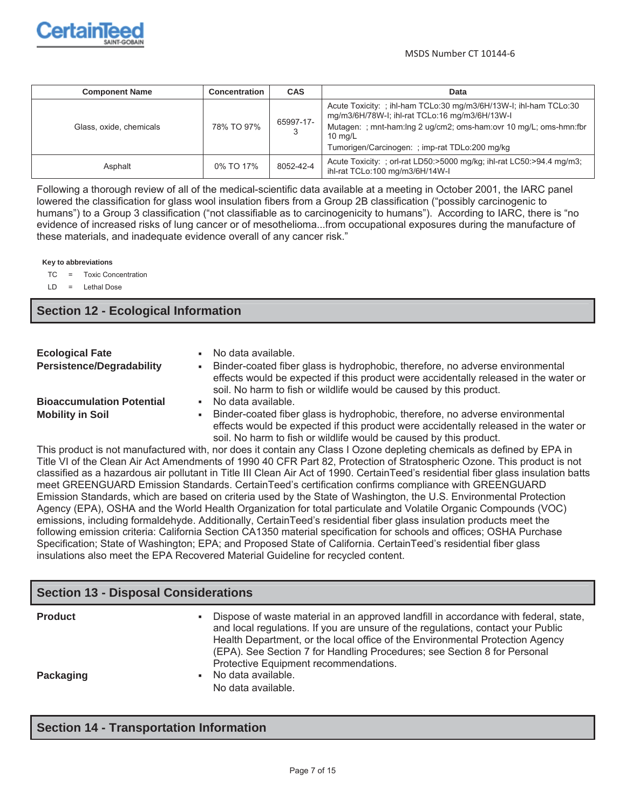

| <b>Component Name</b>   | <b>Concentration</b> | <b>CAS</b> | Data                                                                                                                                                                                                                                                            |
|-------------------------|----------------------|------------|-----------------------------------------------------------------------------------------------------------------------------------------------------------------------------------------------------------------------------------------------------------------|
| Glass, oxide, chemicals | 78% TO 97%           | 65997-17-  | Acute Toxicity: ; ihl-ham TCLo:30 mg/m3/6H/13W-I; ihl-ham TCLo:30<br>mg/m3/6H/78W-I; ihl-rat TCLo:16 mg/m3/6H/13W-I<br>Mutagen: ; mnt-ham:lng 2 ug/cm2; oms-ham:ovr 10 mg/L; oms-hmn:fbr<br>$10 \text{ ma/L}$<br>Tumorigen/Carcinogen: ; imp-rat TDLo:200 mg/kg |
| Asphalt                 | 0% TO 17%            | 8052-42-4  | Acute Toxicity: ; orl-rat LD50:>5000 mg/kg; ihl-rat LC50:>94.4 mg/m3;<br>ihl-rat TCLo:100 mg/m3/6H/14W-I                                                                                                                                                        |

Following a thorough review of all of the medical-scientific data available at a meeting in October 2001, the IARC panel lowered the classification for glass wool insulation fibers from a Group 2B classification ("possibly carcinogenic to humans") to a Group 3 classification ("not classifiable as to carcinogenicity to humans"). According to IARC, there is "no evidence of increased risks of lung cancer or of mesothelioma...from occupational exposures during the manufacture of these materials, and inadequate evidence overall of any cancer risk."

**Key to abbreviations**

TC = Toxic Concentration

LD = Lethal Dose

## **Section 12 - Ecological Information**

| <b>Ecological Fate</b><br><b>Persistence/Degradability</b> | No data available.<br>Binder-coated fiber glass is hydrophobic, therefore, no adverse environmental<br>effects would be expected if this product were accidentally released in the water or<br>soil. No harm to fish or wildlife would be caused by this product. |
|------------------------------------------------------------|-------------------------------------------------------------------------------------------------------------------------------------------------------------------------------------------------------------------------------------------------------------------|
| <b>Bioaccumulation Potential</b>                           | No data available.                                                                                                                                                                                                                                                |
| <b>Mobility in Soil</b>                                    | Binder-coated fiber glass is hydrophobic, therefore, no adverse environmental<br>effects would be expected if this product were accidentally released in the water or<br>soil. No harm to fish or wildlife would be caused by this product.                       |

This product is not manufactured with, nor does it contain any Class I Ozone depleting chemicals as defined by EPA in Title VI of the Clean Air Act Amendments of 1990 40 CFR Part 82, Protection of Stratospheric Ozone. This product is not classified as a hazardous air pollutant in Title III Clean Air Act of 1990. CertainTeed's residential fiber glass insulation batts meet GREENGUARD Emission Standards. CertainTeed's certification confirms compliance with GREENGUARD Emission Standards, which are based on criteria used by the State of Washington, the U.S. Environmental Protection Agency (EPA), OSHA and the World Health Organization for total particulate and Volatile Organic Compounds (VOC) emissions, including formaldehyde. Additionally, CertainTeed's residential fiber glass insulation products meet the following emission criteria: California Section CA1350 material specification for schools and offices; OSHA Purchase Specification; State of Washington; EPA; and Proposed State of California. CertainTeed's residential fiber glass insulations also meet the EPA Recovered Material Guideline for recycled content.

# **Section 13 - Disposal Considerations Product Example 2 Figure 1** Dispose of waste material in an approved landfill in accordance with federal, state, and local regulations. If you are unsure of the regulations, contact your Public Health Department, or the local office of the Environmental Protection Agency (EPA). See Section 7 for Handling Procedures; see Section 8 for Personal Protective Equipment recommendations. **Packaging** No data available. No data available.

## **Section 14 - Transportation Information**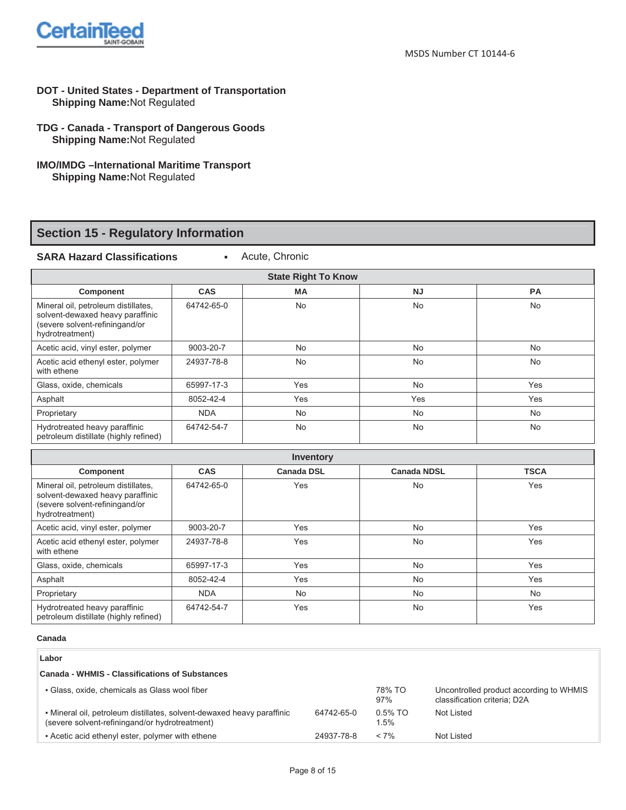

- **DOT United States Department of Transportation Shipping Name:**Not Regulated
- **TDG Canada Transport of Dangerous Goods Shipping Name:**Not Regulated
- **IMO/IMDG –International Maritime Transport Shipping Name:**Not Regulated

# **Section 15 - Regulatory Information**

**SARA Hazard Classifications 12 Acute, Chronic** 

| <b>State Right To Know</b>                                                                                                   |            |           |           |           |  |
|------------------------------------------------------------------------------------------------------------------------------|------------|-----------|-----------|-----------|--|
| <b>Component</b>                                                                                                             | <b>CAS</b> | <b>MA</b> | <b>NJ</b> | <b>PA</b> |  |
| Mineral oil, petroleum distillates,<br>solvent-dewaxed heavy paraffinic<br>(severe solvent-refiningand/or<br>hydrotreatment) | 64742-65-0 | No        | <b>No</b> | No        |  |
| Acetic acid, vinyl ester, polymer                                                                                            | 9003-20-7  | <b>No</b> | <b>No</b> | <b>No</b> |  |
| Acetic acid ethenyl ester, polymer<br>with ethene                                                                            | 24937-78-8 | <b>No</b> | <b>No</b> | <b>No</b> |  |
| Glass, oxide, chemicals                                                                                                      | 65997-17-3 | Yes       | <b>No</b> | Yes       |  |
| Asphalt                                                                                                                      | 8052-42-4  | Yes       | Yes       | Yes       |  |
| Proprietary                                                                                                                  | <b>NDA</b> | <b>No</b> | <b>No</b> | <b>No</b> |  |
| Hydrotreated heavy paraffinic<br>petroleum distillate (highly refined)                                                       | 64742-54-7 | <b>No</b> | <b>No</b> | No        |  |

| <b>Inventory</b>                                                                                                             |            |                   |                    |             |  |  |
|------------------------------------------------------------------------------------------------------------------------------|------------|-------------------|--------------------|-------------|--|--|
| <b>Component</b>                                                                                                             | <b>CAS</b> | <b>Canada DSL</b> | <b>Canada NDSL</b> | <b>TSCA</b> |  |  |
| Mineral oil, petroleum distillates,<br>solvent-dewaxed heavy paraffinic<br>(severe solvent-refiningand/or<br>hydrotreatment) | 64742-65-0 | Yes               | <b>No</b>          | Yes         |  |  |
| Acetic acid, vinyl ester, polymer                                                                                            | 9003-20-7  | Yes               | <b>No</b>          | Yes         |  |  |
| Acetic acid ethenyl ester, polymer<br>with ethene                                                                            | 24937-78-8 | Yes               | <b>No</b>          | Yes         |  |  |
| Glass, oxide, chemicals                                                                                                      | 65997-17-3 | Yes               | <b>No</b>          | Yes         |  |  |
| Asphalt                                                                                                                      | 8052-42-4  | Yes               | <b>No</b>          | Yes         |  |  |
| Proprietary                                                                                                                  | <b>NDA</b> | <b>No</b>         | <b>No</b>          | <b>No</b>   |  |  |
| Hydrotreated heavy paraffinic<br>petroleum distillate (highly refined)                                                       | 64742-54-7 | Yes               | <b>No</b>          | Yes         |  |  |

#### **Canada**

#### **Labor**

#### **Canada - WHMIS - Classifications of Substances**

| • Glass, oxide, chemicals as Glass wool fiber                                                                             |            |                    | Uncontrolled product according to WHMIS<br>classification criteria: D2A |
|---------------------------------------------------------------------------------------------------------------------------|------------|--------------------|-------------------------------------------------------------------------|
| • Mineral oil, petroleum distillates, solvent-dewaxed heavy paraffinic<br>(severe solvent-refining and/or hydrotreatment) | 64742-65-0 | $0.5\%$ TO<br>1.5% | Not Listed                                                              |
| • Acetic acid ethenyl ester, polymer with ethene                                                                          | 24937-78-8 | $< 7\%$            | Not Listed                                                              |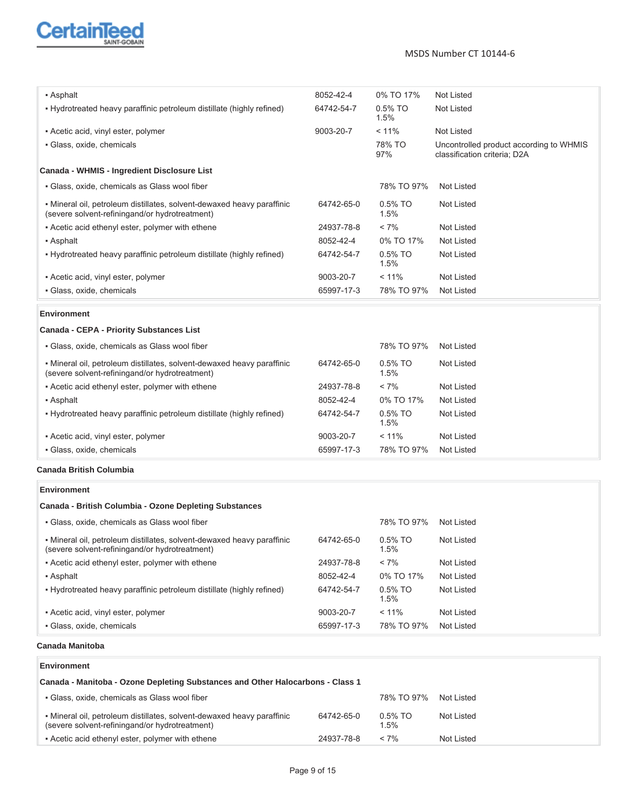

| • Asphalt                                                                                                                 | 8052-42-4  | 0% TO 17%       | Not Listed                                                              |
|---------------------------------------------------------------------------------------------------------------------------|------------|-----------------|-------------------------------------------------------------------------|
| • Hydrotreated heavy paraffinic petroleum distillate (highly refined)                                                     | 64742-54-7 | 0.5% TO<br>1.5% | Not Listed                                                              |
| • Acetic acid, vinyl ester, polymer                                                                                       | 9003-20-7  | < 11%           | Not Listed                                                              |
| · Glass, oxide, chemicals                                                                                                 |            | 78% TO<br>97%   | Uncontrolled product according to WHMIS<br>classification criteria; D2A |
| Canada - WHMIS - Ingredient Disclosure List                                                                               |            |                 |                                                                         |
| • Glass, oxide, chemicals as Glass wool fiber                                                                             |            | 78% TO 97%      | <b>Not Listed</b>                                                       |
| · Mineral oil, petroleum distillates, solvent-dewaxed heavy paraffinic<br>(severe solvent-refining and/or hydrotreatment) | 64742-65-0 | 0.5% TO<br>1.5% | Not Listed                                                              |
| - Acetic acid ethenyl ester, polymer with ethene                                                                          | 24937-78-8 | $< 7\%$         | <b>Not Listed</b>                                                       |
| • Asphalt                                                                                                                 | 8052-42-4  | 0% TO 17%       | <b>Not Listed</b>                                                       |
| . Hydrotreated heavy paraffinic petroleum distillate (highly refined)                                                     | 64742-54-7 | 0.5% TO<br>1.5% | <b>Not Listed</b>                                                       |
| • Acetic acid, vinyl ester, polymer                                                                                       | 9003-20-7  | < 11%           | <b>Not Listed</b>                                                       |
| · Glass, oxide, chemicals                                                                                                 | 65997-17-3 | 78% TO 97%      | <b>Not Listed</b>                                                       |
| <b>Environment</b>                                                                                                        |            |                 |                                                                         |
| Canada - CEPA - Priority Substances List                                                                                  |            |                 |                                                                         |
| • Glass, oxide, chemicals as Glass wool fiber                                                                             |            | 78% TO 97%      | <b>Not Listed</b>                                                       |
| · Mineral oil, petroleum distillates, solvent-dewaxed heavy paraffinic<br>(severe solvent-refiningand/or hydrotreatment)  | 64742-65-0 | 0.5% TO<br>1.5% | Not Listed                                                              |
| - Acetic acid ethenyl ester, polymer with ethene                                                                          | 24937-78-8 | $< 7\%$         | <b>Not Listed</b>                                                       |
| • Asphalt                                                                                                                 | 8052-42-4  | 0% TO 17%       | <b>Not Listed</b>                                                       |
| . Hydrotreated heavy paraffinic petroleum distillate (highly refined)                                                     | 64742-54-7 | 0.5% TO<br>1.5% | <b>Not Listed</b>                                                       |
| • Acetic acid, vinyl ester, polymer                                                                                       | 9003-20-7  | < 11%           | <b>Not Listed</b>                                                       |
| · Glass, oxide, chemicals                                                                                                 | 65997-17-3 | 78% TO 97%      | <b>Not Listed</b>                                                       |
| <b>Canada British Columbia</b>                                                                                            |            |                 |                                                                         |
| <b>Environment</b>                                                                                                        |            |                 |                                                                         |
| Canada - British Columbia - Ozone Depleting Substances                                                                    |            |                 |                                                                         |
| • Glass, oxide, chemicals as Glass wool fiber                                                                             |            | 78% TO 97%      | <b>Not Listed</b>                                                       |
| · Mineral oil, petroleum distillates, solvent-dewaxed heavy paraffinic<br>(severe solvent-refiningand/or hydrotreatment)  | 64742-65-0 | 0.5% TO<br>1.5% | <b>Not Listed</b>                                                       |
| - Acetic acid ethenyl ester, polymer with ethene                                                                          | 24937-78-8 | $< 7\%$         | <b>Not Listed</b>                                                       |
| • Asphalt                                                                                                                 | 8052-42-4  | 0% TO 17%       | <b>Not Listed</b>                                                       |
| . Hydrotreated heavy paraffinic petroleum distillate (highly refined)                                                     | 64742-54-7 | 0.5% TO<br>1.5% | Not Listed                                                              |
| • Acetic acid, vinyl ester, polymer                                                                                       | 9003-20-7  | < 11%           | Not Listed                                                              |
| · Glass, oxide, chemicals                                                                                                 | 65997-17-3 | 78% TO 97%      | <b>Not Listed</b>                                                       |
| Canada Manitoba                                                                                                           |            |                 |                                                                         |
| <b>Environment</b>                                                                                                        |            |                 |                                                                         |
| Canada - Manitoba - Ozone Depleting Substances and Other Halocarbons - Class 1                                            |            |                 |                                                                         |
| · Glass, oxide, chemicals as Glass wool fiber                                                                             |            | 78% TO 97%      | <b>Not Listed</b>                                                       |
| • Mineral oil, petroleum distillates, solvent-dewaxed heavy paraffinic<br>(severe solvent-refining and/or hydrotreatment) | 64742-65-0 | 0.5% TO<br>1.5% | Not Listed                                                              |
| - Acetic acid ethenyl ester, polymer with ethene                                                                          | 24937-78-8 | $< 7\%$         | Not Listed                                                              |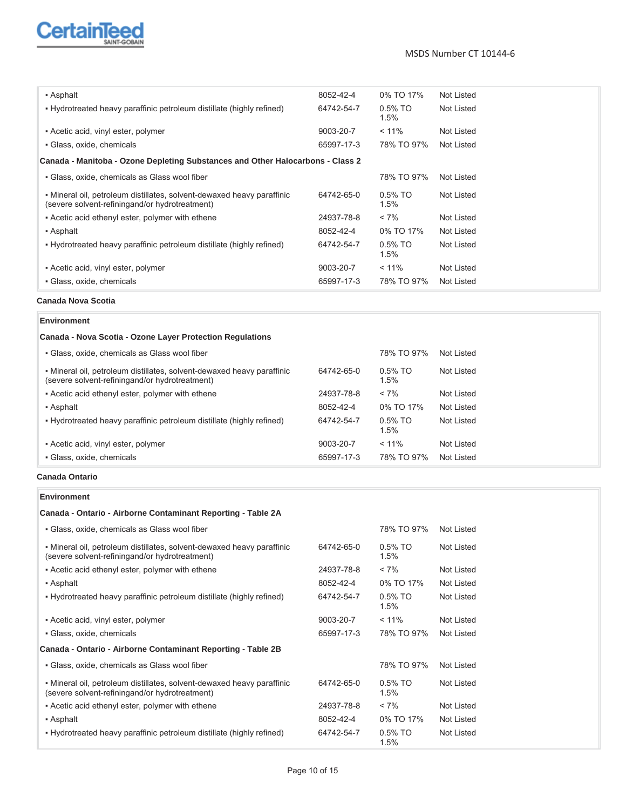

#### MSDS Number CT 10144-6

| • Asphalt                                                                                                                 | 8052-42-4  | 0% TO 17%             | Not Listed |
|---------------------------------------------------------------------------------------------------------------------------|------------|-----------------------|------------|
| • Hydrotreated heavy paraffinic petroleum distillate (highly refined)                                                     | 64742-54-7 | $0.5\%$ TO<br>$1.5\%$ | Not Listed |
| • Acetic acid, vinyl ester, polymer                                                                                       | 9003-20-7  | $< 11\%$              | Not Listed |
| • Glass, oxide, chemicals                                                                                                 | 65997-17-3 | 78% TO 97%            | Not Listed |
| Canada - Manitoba - Ozone Depleting Substances and Other Halocarbons - Class 2                                            |            |                       |            |
| • Glass, oxide, chemicals as Glass wool fiber                                                                             |            | 78% TO 97%            | Not Listed |
| • Mineral oil, petroleum distillates, solvent-dewaxed heavy paraffinic<br>(severe solvent-refining and/or hydrotreatment) | 64742-65-0 | $0.5\%$ TO<br>1.5%    | Not Listed |
| • Acetic acid ethenyl ester, polymer with ethene                                                                          | 24937-78-8 | $< 7\%$               | Not Listed |
| • Asphalt                                                                                                                 | 8052-42-4  | 0% TO 17%             | Not Listed |
| . Hydrotreated heavy paraffinic petroleum distillate (highly refined)                                                     | 64742-54-7 | $0.5\%$ TO<br>1.5%    | Not Listed |
| • Acetic acid, vinyl ester, polymer                                                                                       | 9003-20-7  | $< 11\%$              | Not Listed |
| · Glass, oxide, chemicals                                                                                                 | 65997-17-3 | 78% TO 97%            | Not Listed |

## **Canada Nova Scotia**

### **Environment**

## **Canada - Nova Scotia - Ozone Layer Protection Regulations**

| · Glass, oxide, chemicals                                                                                                 | 65997-17-3 | 78% TO 97%         | Not Listed |
|---------------------------------------------------------------------------------------------------------------------------|------------|--------------------|------------|
| • Acetic acid, vinyl ester, polymer                                                                                       | 9003-20-7  | $< 11\%$           | Not Listed |
| • Hydrotreated heavy paraffinic petroleum distillate (highly refined)                                                     | 64742-54-7 | $0.5\%$ TO<br>1.5% | Not Listed |
| • Asphalt                                                                                                                 | 8052-42-4  | 0% TO 17%          | Not Listed |
| • Acetic acid ethenyl ester, polymer with ethene                                                                          | 24937-78-8 | $< 7\%$            | Not Listed |
| • Mineral oil, petroleum distillates, solvent-dewaxed heavy paraffinic<br>(severe solvent-refining and/or hydrotreatment) | 64742-65-0 | $0.5\%$ TO<br>1.5% | Not Listed |
| • Glass, oxide, chemicals as Glass wool fiber                                                                             |            | 78% TO 97%         | Not Listed |

#### **Canada Ontario**

#### **Environment**

### **Canada - Ontario - Airborne Contaminant Reporting - Table 2A**

| • Glass, oxide, chemicals as Glass wool fiber                                                                             |            | 78% TO 97%         | <b>Not Listed</b> |
|---------------------------------------------------------------------------------------------------------------------------|------------|--------------------|-------------------|
| • Mineral oil, petroleum distillates, solvent-dewaxed heavy paraffinic<br>(severe solvent-refining and/or hydrotreatment) | 64742-65-0 | $0.5\%$ TO<br>1.5% | Not Listed        |
| - Acetic acid ethenyl ester, polymer with ethene                                                                          | 24937-78-8 | $< 7\%$            | Not Listed        |
| • Asphalt                                                                                                                 | 8052-42-4  | 0% TO 17%          | Not Listed        |
| . Hydrotreated heavy paraffinic petroleum distillate (highly refined)                                                     | 64742-54-7 | $0.5\%$ TO<br>1.5% | Not Listed        |
| • Acetic acid, vinyl ester, polymer                                                                                       | 9003-20-7  | $< 11\%$           | Not Listed        |
| • Glass, oxide, chemicals                                                                                                 | 65997-17-3 | 78% TO 97%         | Not Listed        |
| Canada - Ontario - Airborne Contaminant Reporting - Table 2B                                                              |            |                    |                   |
| • Glass, oxide, chemicals as Glass wool fiber                                                                             |            | 78% TO 97%         | Not Listed        |
| • Mineral oil, petroleum distillates, solvent-dewaxed heavy paraffinic<br>(severe solvent-refiningand/or hydrotreatment)  | 64742-65-0 | $0.5\%$ TO<br>1.5% | Not Listed        |
| • Acetic acid ethenyl ester, polymer with ethene                                                                          | 24937-78-8 | $< 7\%$            | Not Listed        |
| • Asphalt                                                                                                                 | 8052-42-4  | 0% TO 17%          | Not Listed        |
| • Hydrotreated heavy paraffinic petroleum distillate (highly refined)                                                     | 64742-54-7 | $0.5\%$ TO<br>1.5% | Not Listed        |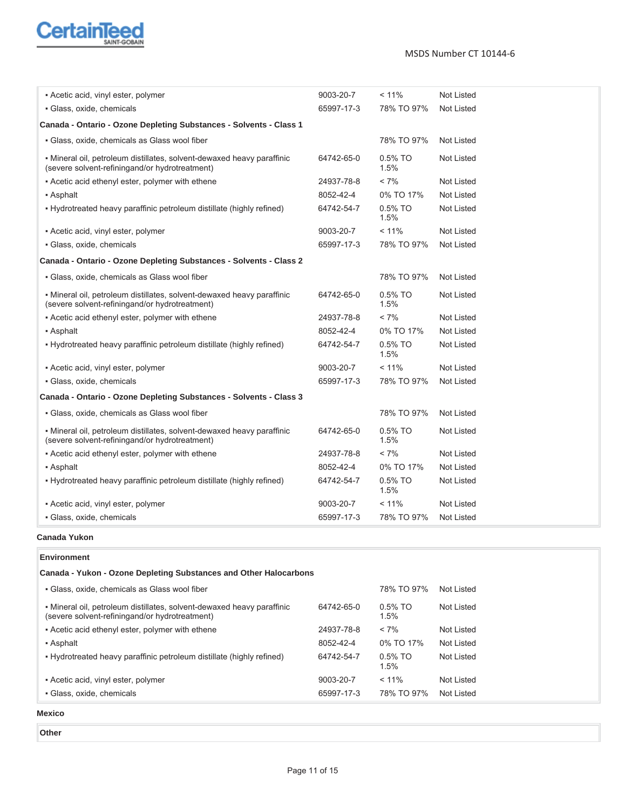

| • Acetic acid, vinyl ester, polymer                                                                                       | 9003-20-7  | < 11%           | Not Listed        |
|---------------------------------------------------------------------------------------------------------------------------|------------|-----------------|-------------------|
| · Glass, oxide, chemicals                                                                                                 | 65997-17-3 | 78% TO 97%      | <b>Not Listed</b> |
| Canada - Ontario - Ozone Depleting Substances - Solvents - Class 1                                                        |            |                 |                   |
| • Glass, oxide, chemicals as Glass wool fiber                                                                             |            | 78% TO 97%      | <b>Not Listed</b> |
| • Mineral oil, petroleum distillates, solvent-dewaxed heavy paraffinic<br>(severe solvent-refining and/or hydrotreatment) | 64742-65-0 | 0.5% TO<br>1.5% | <b>Not Listed</b> |
| - Acetic acid ethenyl ester, polymer with ethene                                                                          | 24937-78-8 | $< 7\%$         | <b>Not Listed</b> |
| • Asphalt                                                                                                                 | 8052-42-4  | 0% TO 17%       | <b>Not Listed</b> |
| . Hydrotreated heavy paraffinic petroleum distillate (highly refined)                                                     | 64742-54-7 | 0.5% TO<br>1.5% | <b>Not Listed</b> |
| • Acetic acid, vinyl ester, polymer                                                                                       | 9003-20-7  | < 11%           | <b>Not Listed</b> |
| • Glass, oxide, chemicals                                                                                                 | 65997-17-3 | 78% TO 97%      | <b>Not Listed</b> |
| Canada - Ontario - Ozone Depleting Substances - Solvents - Class 2                                                        |            |                 |                   |
| · Glass, oxide, chemicals as Glass wool fiber                                                                             |            | 78% TO 97%      | <b>Not Listed</b> |
| • Mineral oil, petroleum distillates, solvent-dewaxed heavy paraffinic<br>(severe solvent-refining and/or hydrotreatment) | 64742-65-0 | 0.5% TO<br>1.5% | <b>Not Listed</b> |
| - Acetic acid ethenyl ester, polymer with ethene                                                                          | 24937-78-8 | $< 7\%$         | <b>Not Listed</b> |
| • Asphalt                                                                                                                 | 8052-42-4  | 0% TO 17%       | <b>Not Listed</b> |
| . Hydrotreated heavy paraffinic petroleum distillate (highly refined)                                                     | 64742-54-7 | 0.5% TO<br>1.5% | <b>Not Listed</b> |
| - Acetic acid, vinyl ester, polymer                                                                                       | 9003-20-7  | < 11%           | <b>Not Listed</b> |
| · Glass, oxide, chemicals                                                                                                 | 65997-17-3 | 78% TO 97%      | Not Listed        |
| Canada - Ontario - Ozone Depleting Substances - Solvents - Class 3                                                        |            |                 |                   |
| · Glass, oxide, chemicals as Glass wool fiber                                                                             |            | 78% TO 97%      | <b>Not Listed</b> |
| • Mineral oil, petroleum distillates, solvent-dewaxed heavy paraffinic<br>(severe solvent-refiningand/or hydrotreatment)  | 64742-65-0 | 0.5% TO<br>1.5% | <b>Not Listed</b> |
| - Acetic acid ethenyl ester, polymer with ethene                                                                          | 24937-78-8 | $< 7\%$         | Not Listed        |
| • Asphalt                                                                                                                 | 8052-42-4  | 0% TO 17%       | Not Listed        |
| . Hydrotreated heavy paraffinic petroleum distillate (highly refined)                                                     | 64742-54-7 | 0.5% TO<br>1.5% | <b>Not Listed</b> |
| • Acetic acid, vinyl ester, polymer                                                                                       | 9003-20-7  | < 11%           | <b>Not Listed</b> |
| · Glass, oxide, chemicals                                                                                                 | 65997-17-3 | 78% TO 97%      | Not Listed        |

#### **Canada Yukon**

#### **Environment Canada - Yukon - Ozone Depleting Substances and Other Halocarbons** ƒ Glass, oxide, chemicals as Glass wool fiber 78% TO 97% Not Listed ƒ Mineral oil, petroleum distillates, solvent-dewaxed heavy paraffinic (severe solvent-refiningand/or hydrotreatment) 64742-65-0 0.5% TO 1.5% Not Listed ƒ Acetic acid ethenyl ester, polymer with ethene 24937-78-8 < 7% Not Listed ƒ Asphalt 8052-42-4 0% TO 17% Not Listed ƒ Hydrotreated heavy paraffinic petroleum distillate (highly refined) 64742-54-7 0.5% TO 1.5% Not Listed ƒ Acetic acid, vinyl ester, polymer 9003-20-7 < 11% Not Listed ƒ Glass, oxide, chemicals 65997-17-3 78% TO 97% Not Listed **Mexico**

- 
- **Other**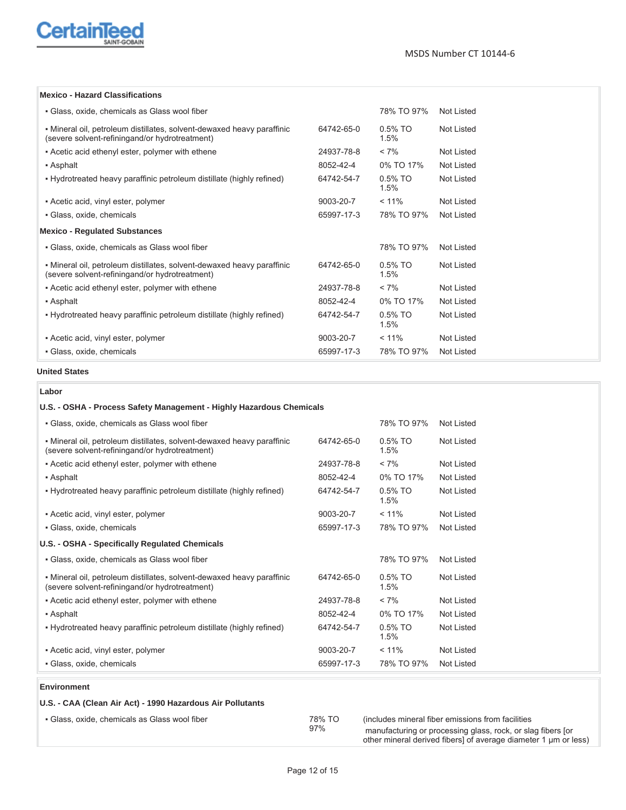

#### **Mexico - Hazard Classifications**

| • Glass, oxide, chemicals as Glass wool fiber                                                                            |            | 78% TO 97%         | Not Listed        |
|--------------------------------------------------------------------------------------------------------------------------|------------|--------------------|-------------------|
| • Mineral oil, petroleum distillates, solvent-dewaxed heavy paraffinic<br>(severe solvent-refiningand/or hydrotreatment) | 64742-65-0 | $0.5\%$ TO<br>1.5% | Not Listed        |
| - Acetic acid ethenyl ester, polymer with ethene                                                                         | 24937-78-8 | $< 7\%$            | Not Listed        |
| • Asphalt                                                                                                                | 8052-42-4  | 0% TO 17%          | <b>Not Listed</b> |
| . Hydrotreated heavy paraffinic petroleum distillate (highly refined)                                                    | 64742-54-7 | $0.5\%$ TO<br>1.5% | Not Listed        |
| • Acetic acid, vinyl ester, polymer                                                                                      | 9003-20-7  | $< 11\%$           | Not Listed        |
| · Glass, oxide, chemicals                                                                                                | 65997-17-3 | 78% TO 97%         | Not Listed        |
| <b>Mexico - Regulated Substances</b>                                                                                     |            |                    |                   |
| • Glass, oxide, chemicals as Glass wool fiber                                                                            |            | 78% TO 97%         | Not Listed        |
| • Mineral oil, petroleum distillates, solvent-dewaxed heavy paraffinic<br>(severe solvent-refiningand/or hydrotreatment) | 64742-65-0 | $0.5\%$ TO<br>1.5% | Not Listed        |
| - Acetic acid ethenyl ester, polymer with ethene                                                                         | 24937-78-8 | $< 7\%$            | Not Listed        |
| • Asphalt                                                                                                                | 8052-42-4  | 0% TO 17%          | <b>Not Listed</b> |
| . Hydrotreated heavy paraffinic petroleum distillate (highly refined)                                                    | 64742-54-7 | $0.5\%$ TO<br>1.5% | Not Listed        |
| • Acetic acid, vinyl ester, polymer                                                                                      | 9003-20-7  | $< 11\%$           | Not Listed        |
| • Glass, oxide, chemicals                                                                                                | 65997-17-3 | 78% TO 97%         | Not Listed        |

## **United States**

#### **Labor**

| U.S. - OSHA - Process Safety Management - Highly Hazardous Chemicals                                                      |            |                    |                   |
|---------------------------------------------------------------------------------------------------------------------------|------------|--------------------|-------------------|
| • Glass, oxide, chemicals as Glass wool fiber                                                                             |            | 78% TO 97%         | Not Listed        |
| • Mineral oil, petroleum distillates, solvent-dewaxed heavy paraffinic<br>(severe solvent-refining and/or hydrotreatment) | 64742-65-0 | $0.5\%$ TO<br>1.5% | Not Listed        |
| - Acetic acid ethenyl ester, polymer with ethene                                                                          | 24937-78-8 | $< 7\%$            | Not Listed        |
| • Asphalt                                                                                                                 | 8052-42-4  | 0% TO 17%          | <b>Not Listed</b> |
| • Hydrotreated heavy paraffinic petroleum distillate (highly refined)                                                     | 64742-54-7 | $0.5\%$ TO<br>1.5% | Not Listed        |
| • Acetic acid, vinyl ester, polymer                                                                                       | 9003-20-7  | $< 11\%$           | <b>Not Listed</b> |
| · Glass, oxide, chemicals                                                                                                 | 65997-17-3 | 78% TO 97%         | Not Listed        |
| U.S. - OSHA - Specifically Regulated Chemicals                                                                            |            |                    |                   |
| · Glass, oxide, chemicals as Glass wool fiber                                                                             |            | 78% TO 97%         | <b>Not Listed</b> |
| • Mineral oil, petroleum distillates, solvent-dewaxed heavy paraffinic<br>(severe solvent-refiningand/or hydrotreatment)  | 64742-65-0 | $0.5\%$ TO<br>1.5% | Not Listed        |
| • Acetic acid ethenyl ester, polymer with ethene                                                                          | 24937-78-8 | $< 7\%$            | <b>Not Listed</b> |
| • Asphalt                                                                                                                 | 8052-42-4  | 0% TO 17%          | <b>Not Listed</b> |
| . Hydrotreated heavy paraffinic petroleum distillate (highly refined)                                                     | 64742-54-7 | $0.5\%$ TO<br>1.5% | Not Listed        |
| • Acetic acid, vinyl ester, polymer                                                                                       | 9003-20-7  | $< 11\%$           | <b>Not Listed</b> |
| · Glass, oxide, chemicals                                                                                                 | 65997-17-3 | 78% TO 97%         | Not Listed        |

### **Environment**

| U.S. - CAA (Clean Air Act) - 1990 Hazardous Air Pollutants |               |                                                                                                                                                                                      |
|------------------------------------------------------------|---------------|--------------------------------------------------------------------------------------------------------------------------------------------------------------------------------------|
| • Glass, oxide, chemicals as Glass wool fiber              | 78% TO<br>97% | (includes mineral fiber emissions from facilities)<br>manufacturing or processing glass, rock, or slag fibers for<br>other mineral derived fibers] of average diameter 1 um or less) |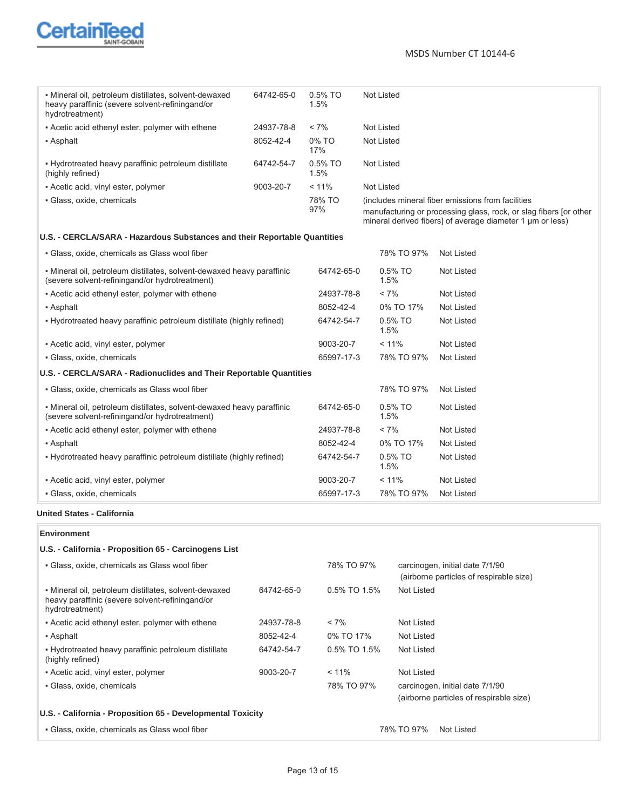

MSDS Number CT 10144-6

| • Mineral oil, petroleum distillates, solvent-dewaxed<br>heavy paraffinic (severe solvent-refining and/or<br>hydrotreatment) | 64742-65-0 | $0.5\%$ TO<br>1.5% | Not Listed                                                                                                                                                                          |
|------------------------------------------------------------------------------------------------------------------------------|------------|--------------------|-------------------------------------------------------------------------------------------------------------------------------------------------------------------------------------|
| • Acetic acid ethenyl ester, polymer with ethene                                                                             | 24937-78-8 | $< 7\%$            | Not Listed                                                                                                                                                                          |
| • Asphalt                                                                                                                    | 8052-42-4  | 0% TO<br>17%       | Not Listed                                                                                                                                                                          |
| . Hydrotreated heavy paraffinic petroleum distillate<br>(highly refined)                                                     | 64742-54-7 | $0.5\%$ TO<br>1.5% | Not Listed                                                                                                                                                                          |
| • Acetic acid, vinyl ester, polymer                                                                                          | 9003-20-7  | $< 11\%$           | Not Listed                                                                                                                                                                          |
| • Glass, oxide, chemicals                                                                                                    |            | 78% TO<br>97%      | (includes mineral fiber emissions from facilities<br>manufacturing or processing glass, rock, or slag fibers for other<br>mineral derived fibers] of average diameter 1 um or less) |

## **U.S. - CERCLA/SARA - Hazardous Substances and their Reportable Quantities**

| • Glass, oxide, chemicals as Glass wool fiber                                                                             |            | 78% TO 97%            | <b>Not Listed</b> |
|---------------------------------------------------------------------------------------------------------------------------|------------|-----------------------|-------------------|
| • Mineral oil, petroleum distillates, solvent-dewaxed heavy paraffinic<br>(severe solvent-refining and/or hydrotreatment) | 64742-65-0 | $0.5\%$ TO<br>1.5%    | Not Listed        |
| • Acetic acid ethenyl ester, polymer with ethene                                                                          | 24937-78-8 | $< 7\%$               | Not Listed        |
| • Asphalt                                                                                                                 | 8052-42-4  | 0% TO 17%             | Not Listed        |
| . Hydrotreated heavy paraffinic petroleum distillate (highly refined)                                                     | 64742-54-7 | $0.5\%$ TO<br>$1.5\%$ | Not Listed        |
| • Acetic acid, vinyl ester, polymer                                                                                       | 9003-20-7  | $< 11\%$              | Not Listed        |
| • Glass, oxide, chemicals                                                                                                 | 65997-17-3 | 78% TO 97%            | Not Listed        |
| U.S. - CERCLA/SARA - Radionuclides and Their Reportable Quantities                                                        |            |                       |                   |
| • Glass, oxide, chemicals as Glass wool fiber                                                                             |            | 78% TO 97%            | Not Listed        |
| • Mineral oil, petroleum distillates, solvent-dewaxed heavy paraffinic<br>(severe solvent-refining and/or hydrotreatment) | 64742-65-0 | $0.5%$ TO<br>1.5%     | Not Listed        |
| • Acetic acid ethenyl ester, polymer with ethene                                                                          | 24937-78-8 | $< 7\%$               | Not Listed        |
| • Asphalt                                                                                                                 | 8052-42-4  | 0% TO 17%             | Not Listed        |
| - Hydrotreated heavy paraffinic petroleum distillate (highly refined)                                                     | 64742-54-7 | $0.5\%$ TO<br>$1.5\%$ | Not Listed        |
| • Acetic acid, vinyl ester, polymer                                                                                       | 9003-20-7  | $< 11\%$              | Not Listed        |
| · Glass, oxide, chemicals                                                                                                 | 65997-17-3 | 78% TO 97%            | Not Listed        |

#### **United States - California**

#### **Environment**

### **U.S. - California - Proposition 65 - Carcinogens List**

| • Glass, oxide, chemicals as Glass wool fiber                                                                                |            | 78% TO 97%      | carcinogen, initial date 7/1/90<br>(airborne particles of respirable size) |
|------------------------------------------------------------------------------------------------------------------------------|------------|-----------------|----------------------------------------------------------------------------|
| • Mineral oil, petroleum distillates, solvent-dewaxed<br>heavy paraffinic (severe solvent-refining and/or<br>hydrotreatment) | 64742-65-0 | $0.5\%$ TO 1.5% | Not Listed                                                                 |
| • Acetic acid ethenyl ester, polymer with ethene                                                                             | 24937-78-8 | $< 7\%$         | Not Listed                                                                 |
| • Asphalt                                                                                                                    | 8052-42-4  | 0% TO 17%       | Not Listed                                                                 |
| . Hydrotreated heavy paraffinic petroleum distillate<br>(highly refined)                                                     | 64742-54-7 | $0.5\%$ TO 1.5% | Not Listed                                                                 |
| • Acetic acid, vinyl ester, polymer                                                                                          | 9003-20-7  | $< 11\%$        | Not Listed                                                                 |
| · Glass, oxide, chemicals                                                                                                    |            | 78% TO 97%      | carcinogen, initial date 7/1/90<br>(airborne particles of respirable size) |
| U.S. - California - Proposition 65 - Developmental Toxicity                                                                  |            |                 |                                                                            |
| • Glass, oxide, chemicals as Glass wool fiber                                                                                |            |                 | 78% TO 97%<br>Not Listed                                                   |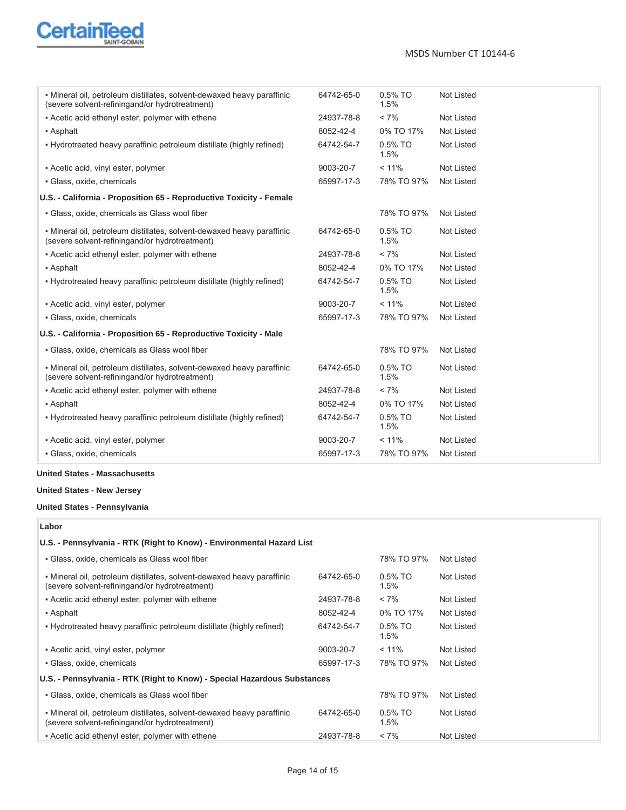

| • Mineral oil, petroleum distillates, solvent-dewaxed heavy paraffinic<br>(severe solvent-refining and/or hydrotreatment) | 64742-65-0 | 0.5% TO<br>1.5% | <b>Not Listed</b> |
|---------------------------------------------------------------------------------------------------------------------------|------------|-----------------|-------------------|
| - Acetic acid ethenyl ester, polymer with ethene                                                                          | 24937-78-8 | $< 7\%$         | <b>Not Listed</b> |
| • Asphalt                                                                                                                 | 8052-42-4  | 0% TO 17%       | <b>Not Listed</b> |
| . Hydrotreated heavy paraffinic petroleum distillate (highly refined)                                                     | 64742-54-7 | 0.5% TO<br>1.5% | Not Listed        |
| • Acetic acid, vinyl ester, polymer                                                                                       | 9003-20-7  | $< 11\%$        | <b>Not Listed</b> |
| · Glass, oxide, chemicals                                                                                                 | 65997-17-3 | 78% TO 97%      | Not Listed        |
| U.S. - California - Proposition 65 - Reproductive Toxicity - Female                                                       |            |                 |                   |
| · Glass, oxide, chemicals as Glass wool fiber                                                                             |            | 78% TO 97%      | Not Listed        |
| • Mineral oil, petroleum distillates, solvent-dewaxed heavy paraffinic<br>(severe solvent-refining and/or hydrotreatment) | 64742-65-0 | 0.5% TO<br>1.5% | <b>Not Listed</b> |
| - Acetic acid ethenyl ester, polymer with ethene                                                                          | 24937-78-8 | $< 7\%$         | <b>Not Listed</b> |
| • Asphalt                                                                                                                 | 8052-42-4  | 0% TO 17%       | Not Listed        |
| . Hydrotreated heavy paraffinic petroleum distillate (highly refined)                                                     | 64742-54-7 | 0.5% TO<br>1.5% | Not Listed        |
| • Acetic acid, vinyl ester, polymer                                                                                       | 9003-20-7  | $< 11\%$        | Not Listed        |
| · Glass, oxide, chemicals                                                                                                 | 65997-17-3 | 78% TO 97%      | Not Listed        |
| U.S. - California - Proposition 65 - Reproductive Toxicity - Male                                                         |            |                 |                   |
| • Glass, oxide, chemicals as Glass wool fiber                                                                             |            | 78% TO 97%      | Not Listed        |
| • Mineral oil, petroleum distillates, solvent-dewaxed heavy paraffinic<br>(severe solvent-refining and/or hydrotreatment) | 64742-65-0 | 0.5% TO<br>1.5% | Not Listed        |
| - Acetic acid ethenyl ester, polymer with ethene                                                                          | 24937-78-8 | $< 7\%$         | <b>Not Listed</b> |
| • Asphalt                                                                                                                 | 8052-42-4  | 0% TO 17%       | <b>Not Listed</b> |
| . Hydrotreated heavy paraffinic petroleum distillate (highly refined)                                                     | 64742-54-7 | 0.5% TO<br>1.5% | Not Listed        |
| • Acetic acid, vinyl ester, polymer                                                                                       | 9003-20-7  | $< 11\%$        | Not Listed        |
|                                                                                                                           |            |                 |                   |

#### **United States - Massachusetts**

## **United States - New Jersey**

#### **United States - Pennsylvania**

**Labor**

| U.S. - Pennsylvania - RTK (Right to Know) - Environmental Hazard List                                                     |            |                       |            |
|---------------------------------------------------------------------------------------------------------------------------|------------|-----------------------|------------|
| • Glass, oxide, chemicals as Glass wool fiber                                                                             |            | 78% TO 97%            | Not Listed |
| • Mineral oil, petroleum distillates, solvent-dewaxed heavy paraffinic<br>(severe solvent-refiningand/or hydrotreatment)  | 64742-65-0 | $0.5\%$ TO<br>$1.5\%$ | Not Listed |
| • Acetic acid ethenyl ester, polymer with ethene                                                                          | 24937-78-8 | $< 7\%$               | Not Listed |
| • Asphalt                                                                                                                 | 8052-42-4  | 0% TO 17%             | Not Listed |
| • Hydrotreated heavy paraffinic petroleum distillate (highly refined)                                                     | 64742-54-7 | $0.5\%$ TO<br>$1.5\%$ | Not Listed |
| • Acetic acid, vinyl ester, polymer                                                                                       | 9003-20-7  | $< 11\%$              | Not Listed |
| • Glass, oxide, chemicals                                                                                                 | 65997-17-3 | 78% TO 97%            | Not Listed |
| U.S. - Pennsylvania - RTK (Right to Know) - Special Hazardous Substances                                                  |            |                       |            |
| • Glass, oxide, chemicals as Glass wool fiber                                                                             |            | 78% TO 97%            | Not Listed |
| • Mineral oil, petroleum distillates, solvent-dewaxed heavy paraffinic<br>(severe solvent-refining and/or hydrotreatment) | 64742-65-0 | $0.5\%$ TO<br>$1.5\%$ | Not Listed |
| • Acetic acid ethenyl ester, polymer with ethene                                                                          | 24937-78-8 | $< 7\%$               | Not Listed |